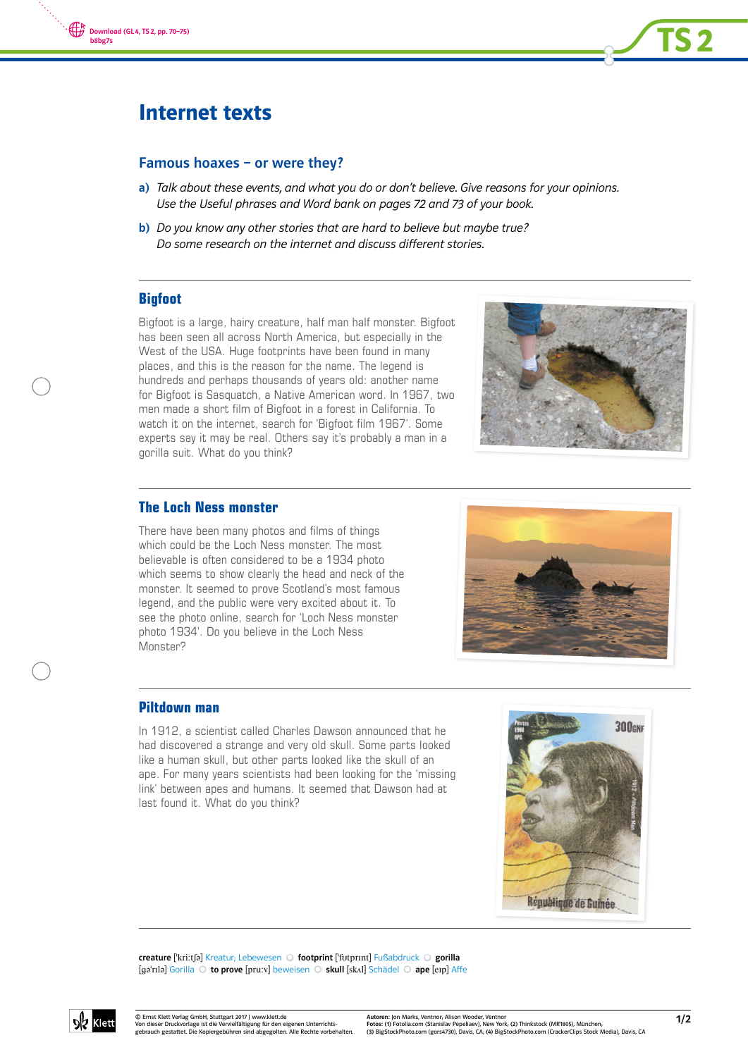



# Internet texts

## Famous hoaxes – or were they?

- a) Talk about these events, and what you do or don't believe. Give reasons for your opinions. Use the Useful phrases and Word bank on pages 72 and 73 of your book.
- b) Do you know any other stories that are hard to believe but maybe true? Do some research on the internet and discuss different stories.

# **Bigfoot**

Bigfoot is a large, hairy creature, half man half monster. Bigfoot has been seen all across North America, but especially in the West of the USA. Huge footprints have been found in many places, and this is the reason for the name. The legend is hundreds and perhaps thousands of years old: another name for Bigfoot is Sasquatch, a Native American word. In 1967, two men made a short film of Bigfoot in a forest in California. To watch it on the internet, search for 'Bigfoot film 1967'. Some experts say it may be real. Others say it's probably a man in a gorilla suit. What do you think?



# **The Loch Ness monster**

There have been many photos and films of things which could be the Loch Ness monster. The most believable is often considered to be a 1934 photo which seems to show clearly the head and neck of the monster. It seemed to prove Scotland's most famous legend, and the public were very excited about it. To see the photo online, search for 'Loch Ness monster photo 1934'. Do you believe in the Loch Ness Monster?



### **Piltdown man**

In 1912, a scientist called Charles Dawson announced that he had discovered a strange and very old skull. Some parts looked like a human skull, but other parts looked like the skull of an ape. For many years scientists had been looking for the 'missing link' between apes and humans. It seemed that Dawson had at last found it. What do you think?



creature ['kri:tʃə] Kreatur; Lebewesen O footprint ['fotprɪnt] Fußabdruck O gorilla [ga'rɪlə] Gorilla O to prove [pru:v] beweisen O skull [skʌl] Schädel O ape [eɪp] Affe